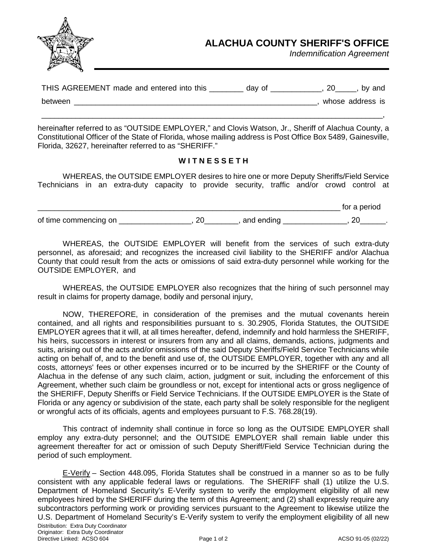

## **ALACHUA COUNTY SHERIFF'S OFFICE**

*Indemnification Agreement*

| THIS AGREEMENT made and entered into this | day of | by and           |
|-------------------------------------------|--------|------------------|
| between                                   |        | whose address is |
|                                           |        |                  |

hereinafter referred to as "OUTSIDE EMPLOYER," and Clovis Watson, Jr., Sheriff of Alachua County, a Constitutional Officer of the State of Florida, whose mailing address is Post Office Box 5489, Gainesville, Florida, 32627, hereinafter referred to as "SHERIFF."

## **W I T N E S S E T H**

WHEREAS, the OUTSIDE EMPLOYER desires to hire one or more Deputy Sheriffs/Field Service Technicians in an extra-duty capacity to provide security, traffic and/or crowd control at

|                       |            | period<br>،O |
|-----------------------|------------|--------------|
| of time commencing on | and ending |              |

WHEREAS, the OUTSIDE EMPLOYER will benefit from the services of such extra-duty personnel, as aforesaid; and recognizes the increased civil liability to the SHERIFF and/or Alachua County that could result from the acts or omissions of said extra-duty personnel while working for the OUTSIDE EMPLOYER, and

WHEREAS, the OUTSIDE EMPLOYER also recognizes that the hiring of such personnel may result in claims for property damage, bodily and personal injury,

NOW, THEREFORE, in consideration of the premises and the mutual covenants herein contained, and all rights and responsibilities pursuant to s. 30.2905, Florida Statutes, the OUTSIDE EMPLOYER agrees that it will, at all times hereafter, defend, indemnify and hold harmless the SHERIFF, his heirs, successors in interest or insurers from any and all claims, demands, actions, judgments and suits, arising out of the acts and/or omissions of the said Deputy Sheriffs/Field Service Technicians while acting on behalf of, and to the benefit and use of, the OUTSIDE EMPLOYER, together with any and all costs, attorneys' fees or other expenses incurred or to be incurred by the SHERIFF or the County of Alachua in the defense of any such claim, action, judgment or suit, including the enforcement of this Agreement, whether such claim be groundless or not, except for intentional acts or gross negligence of the SHERIFF, Deputy Sheriffs or Field Service Technicians. If the OUTSIDE EMPLOYER is the State of Florida or any agency or subdivision of the state, each party shall be solely responsible for the negligent or wrongful acts of its officials, agents and employees pursuant to F.S. 768.28(19).

This contract of indemnity shall continue in force so long as the OUTSIDE EMPLOYER shall employ any extra-duty personnel; and the OUTSIDE EMPLOYER shall remain liable under this agreement thereafter for act or omission of such Deputy Sheriff/Field Service Technician during the period of such employment.

Distribution: Extra Duty Coordinator Originator: Extra Duty Coordinator Directive Linked: ACSO 604 **Page 1 of 2 Page 1 of 2** ACSO 91-05 (02/22) E-Verify – Section 448.095, Florida Statutes shall be construed in a manner so as to be fully consistent with any applicable federal laws or regulations. The SHERIFF shall (1) utilize the U.S. Department of Homeland Security's E-Verify system to verify the employment eligibility of all new employees hired by the SHERIFF during the term of this Agreement; and (2) shall expressly require any subcontractors performing work or providing services pursuant to the Agreement to likewise utilize the U.S. Department of Homeland Security's E-Verify system to verify the employment eligibility of all new